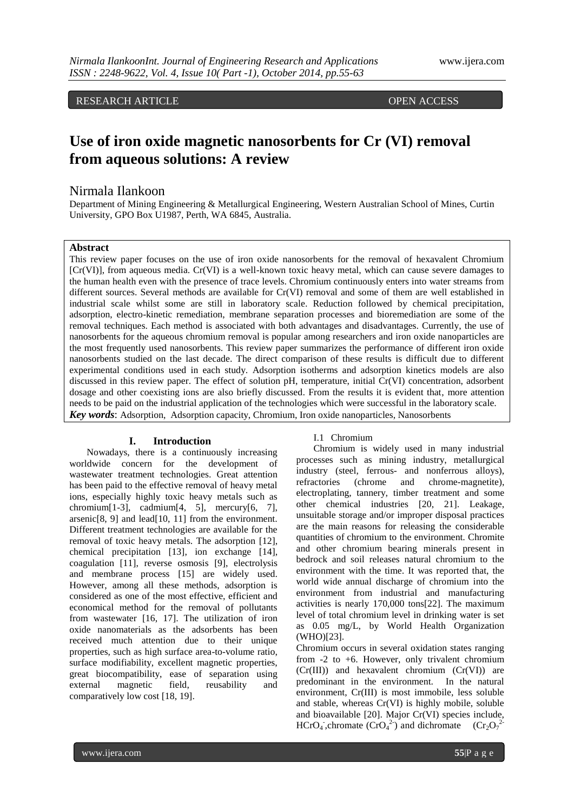RESEARCH ARTICLE **OPEN ACCESS** 

# **Use of iron oxide magnetic nanosorbents for Cr (VI) removal from aqueous solutions: A review**

# Nirmala Ilankoon

Department of Mining Engineering & Metallurgical Engineering, Western Australian School of Mines, Curtin University, GPO Box U1987, Perth, WA 6845, Australia.

# **Abstract**

This review paper focuses on the use of iron oxide nanosorbents for the removal of hexavalent Chromium [Cr(VI)], from aqueous media. Cr(VI) is a well-known toxic heavy metal, which can cause severe damages to the human health even with the presence of trace levels. Chromium continuously enters into water streams from different sources. Several methods are available for Cr(VI) removal and some of them are well established in industrial scale whilst some are still in laboratory scale. Reduction followed by chemical precipitation, adsorption, electro-kinetic remediation, membrane separation processes and bioremediation are some of the removal techniques. Each method is associated with both advantages and disadvantages. Currently, the use of nanosorbents for the aqueous chromium removal is popular among researchers and iron oxide nanoparticles are the most frequently used nanosorbents. This review paper summarizes the performance of different iron oxide nanosorbents studied on the last decade. The direct comparison of these results is difficult due to different experimental conditions used in each study. Adsorption isotherms and adsorption kinetics models are also discussed in this review paper. The effect of solution pH, temperature, initial Cr(VI) concentration, adsorbent dosage and other coexisting ions are also briefly discussed. From the results it is evident that, more attention needs to be paid on the industrial application of the technologies which were successful in the laboratory scale. *Key words*: Adsorption, Adsorption capacity, Chromium, Iron oxide nanoparticles, Nanosorbents

## **I. Introduction**

Nowadays, there is a continuously increasing worldwide concern for the development of wastewater treatment technologies. Great attention has been paid to the effective removal of heavy metal ions, especially highly toxic heavy metals such as chromium $[1-3]$ , cadmium $[4, 5]$ , mercury $[6, 7]$ , arsenic[8, 9] and lead[10, 11] from the environment. Different treatment technologies are available for the removal of toxic heavy metals. The adsorption [12], chemical precipitation [13], ion exchange [14], coagulation [11], reverse osmosis [9], electrolysis and membrane process [15] are widely used. However, among all these methods, adsorption is considered as one of the most effective, efficient and economical method for the removal of pollutants from wastewater [16, 17]. The utilization of iron oxide nanomaterials as the adsorbents has been received much attention due to their unique properties, such as high surface area-to-volume ratio, surface modifiability, excellent magnetic properties, great biocompatibility, ease of separation using external magnetic field, reusability and comparatively low cost [18, 19].

## I.1 Chromium

Chromium is widely used in many industrial processes such as mining industry, metallurgical industry (steel, ferrous- and nonferrous alloys), refractories (chrome and chrome-magnetite), electroplating, tannery, timber treatment and some other chemical industries [20, 21]. Leakage, unsuitable storage and/or improper disposal practices are the main reasons for releasing the considerable quantities of chromium to the environment. Chromite and other chromium bearing minerals present in bedrock and soil releases natural chromium to the environment with the time. It was reported that, the world wide annual discharge of chromium into the environment from industrial and manufacturing activities is nearly 170,000 tons[22]. The maximum level of total chromium level in drinking water is set as 0.05 mg/L, by World Health Organization (WHO)[23].

Chromium occurs in several oxidation states ranging from -2 to +6. However, only trivalent chromium (Cr(III)) and hexavalent chromium (Cr(VI)) are predominant in the environment. In the natural environment, Cr(III) is most immobile, less soluble and stable, whereas Cr(VI) is highly mobile, soluble and bioavailable [20]. Major Cr(VI) species include, HCrO<sub>4</sub>, chromate  $(CrO<sub>4</sub><sup>2</sup>)$  and dichromate  $(Cr<sub>2</sub>O<sub>7</sub><sup>2</sup>)$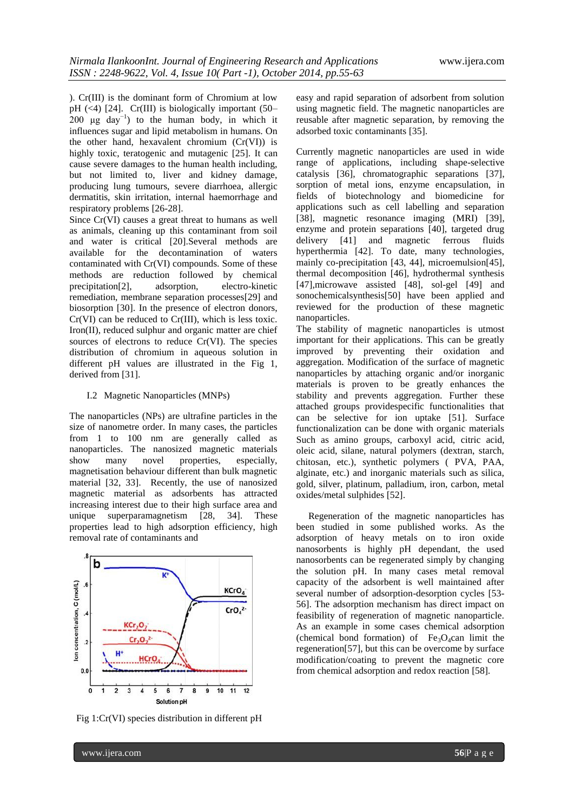). Cr(III) is the dominant form of Chromium at low pH (<4) [24]. Cr(III) is biologically important (50–  $200 \text{ µg day}^{-1}$  to the human body, in which it influences sugar and lipid metabolism in humans. On the other hand, hexavalent chromium (Cr(VI)) is highly toxic, teratogenic and mutagenic [25]. It can cause severe damages to the human health including, but not limited to, liver and kidney damage, producing lung tumours, severe diarrhoea, allergic dermatitis, skin irritation, internal haemorrhage and respiratory problems [26-28].

Since Cr(VI) causes a great threat to humans as well as animals, cleaning up this contaminant from soil and water is critical [20].Several methods are available for the decontamination of waters contaminated with Cr(VI) compounds. Some of these methods are reduction followed by chemical precipitation[2], adsorption, electro-kinetic remediation, membrane separation processes[29] and biosorption [30]. In the presence of electron donors, Cr(VI) can be reduced to Cr(III), which is less toxic. Iron(II), reduced sulphur and organic matter are chief sources of electrons to reduce Cr(VI). The species distribution of chromium in aqueous solution in different pH values are illustrated in the Fig 1, derived from [31].

# I.2 Magnetic Nanoparticles (MNPs)

The nanoparticles (NPs) are ultrafine particles in the size of nanometre order. In many cases, the particles from 1 to 100 nm are generally called as nanoparticles. The nanosized magnetic materials<br>show many novel properties, especially, show many novel properties, especially, magnetisation behaviour different than bulk magnetic material [32, 33]. Recently, the use of nanosized magnetic material as adsorbents has attracted increasing interest due to their high surface area and unique superparamagnetism [28, 34]. These properties lead to high adsorption efficiency, high removal rate of contaminants and



Fig 1:Cr(VI) species distribution in different pH

easy and rapid separation of adsorbent from solution using magnetic field. The magnetic nanoparticles are reusable after magnetic separation, by removing the adsorbed toxic contaminants [35].

Currently magnetic nanoparticles are used in wide range of applications, including shape-selective catalysis [36], chromatographic separations [37], sorption of metal ions, enzyme encapsulation, in fields of biotechnology and biomedicine for applications such as cell labelling and separation [38], magnetic resonance imaging (MRI) [39], enzyme and protein separations [40], targeted drug delivery [41] and magnetic ferrous fluids hyperthermia [42]. To date, many technologies, mainly co-precipitation [43, 44], microemulsion[45], thermal decomposition [46], hydrothermal synthesis [47],microwave assisted [48], sol-gel [49] and sonochemicalsynthesis[50] have been applied and reviewed for the production of these magnetic nanoparticles.

The stability of magnetic nanoparticles is utmost important for their applications. This can be greatly improved by preventing their oxidation and aggregation. Modification of the surface of magnetic nanoparticles by attaching organic and/or inorganic materials is proven to be greatly enhances the stability and prevents aggregation. Further these attached groups providespecific functionalities that can be selective for ion uptake [51]. Surface functionalization can be done with organic materials Such as amino groups, carboxyl acid, citric acid, oleic acid, silane, natural polymers (dextran, starch, chitosan, etc.), synthetic polymers ( PVA, PAA, alginate, etc.) and inorganic materials such as silica, gold, silver, platinum, palladium, iron, carbon, metal oxides/metal sulphides [52].

 Regeneration of the magnetic nanoparticles has been studied in some published works. As the adsorption of heavy metals on to iron oxide nanosorbents is highly pH dependant, the used nanosorbents can be regenerated simply by changing the solution pH. In many cases metal removal capacity of the adsorbent is well maintained after several number of adsorption-desorption cycles [53- 56]. The adsorption mechanism has direct impact on feasibility of regeneration of magnetic nanoparticle. As an example in some cases chemical adsorption (chemical bond formation) of  $Fe<sub>3</sub>O<sub>4</sub>$ can limit the regeneration[57], but this can be overcome by surface modification/coating to prevent the magnetic core from chemical adsorption and redox reaction [58].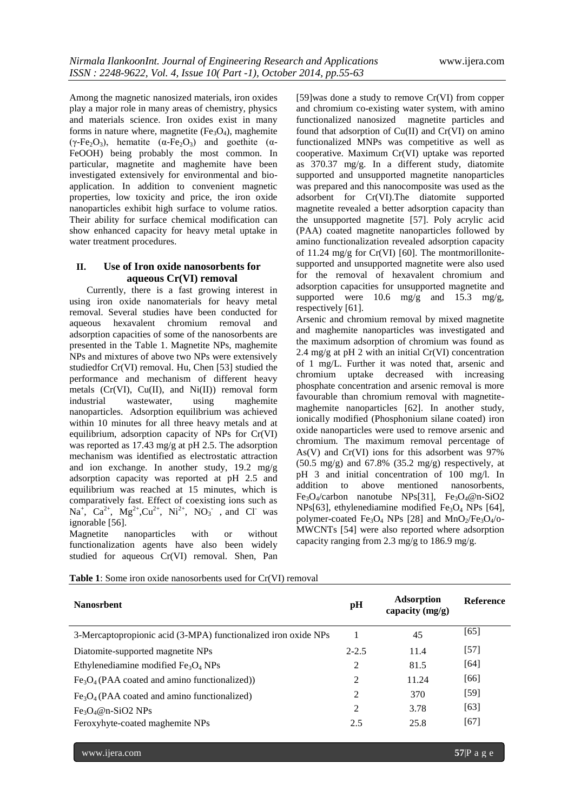Among the magnetic nanosized materials, iron oxides play a major role in many areas of chemistry, physics and materials science. Iron oxides exist in many forms in nature where, magnetite  $(Fe<sub>3</sub>O<sub>4</sub>)$ , maghemite  $(\gamma$ -Fe<sub>2</sub>O<sub>3</sub>), hematite ( $\alpha$ -Fe<sub>2</sub>O<sub>3</sub>) and goethite ( $\alpha$ -FeOOH) being probably the most common. In particular, magnetite and maghemite have been investigated extensively for environmental and bioapplication. In addition to convenient magnetic properties, low toxicity and price, the iron oxide nanoparticles exhibit high surface to volume ratios. Their ability for surface chemical modification can show enhanced capacity for heavy metal uptake in water treatment procedures.

# **II. Use of Iron oxide nanosorbents for aqueous Cr(VI) removal**

Currently, there is a fast growing interest in using iron oxide nanomaterials for heavy metal removal. Several studies have been conducted for aqueous hexavalent chromium removal and adsorption capacities of some of the nanosorbents are presented in the Table 1. Magnetite NPs, maghemite NPs and mixtures of above two NPs were extensively studiedfor Cr(VI) removal. Hu, Chen [53] studied the performance and mechanism of different heavy metals  $(Cr(VI), Cu(II), and Ni(II))$  removal form industrial wastewater, using maghemite nanoparticles. Adsorption equilibrium was achieved within 10 minutes for all three heavy metals and at equilibrium, adsorption capacity of NPs for Cr(VI) was reported as 17.43 mg/g at pH 2.5. The adsorption mechanism was identified as electrostatic attraction and ion exchange. In another study, 19.2 mg/g adsorption capacity was reported at pH 2.5 and equilibrium was reached at 15 minutes, which is comparatively fast. Effect of coexisting ions such as  $\text{Na}^+$ ,  $\text{Ca}^{2+}$ ,  $\text{Mg}^{2+}$ ,  $\text{Cu}^{2+}$ ,  $\text{Ni}^{2+}$ ,  $\text{NO}_3$ , and Cl was ignorable [56].

Magnetite nanoparticles with or without functionalization agents have also been widely studied for aqueous Cr(VI) removal. Shen, Pan [59]was done a study to remove Cr(VI) from copper and chromium co-existing water system, with amino functionalized nanosized magnetite particles and found that adsorption of Cu(II) and Cr(VI) on amino functionalized MNPs was competitive as well as cooperative. Maximum Cr(VI) uptake was reported as 370.37 mg/g. In a different study, diatomite supported and unsupported magnetite nanoparticles was prepared and this nanocomposite was used as the adsorbent for Cr(VI).The diatomite supported magnetite revealed a better adsorption capacity than the unsupported magnetite [57]. Poly acrylic acid (PAA) coated magnetite nanoparticles followed by amino functionalization revealed adsorption capacity of 11.24 mg/g for Cr(VI) [60]. The montmorillonitesupported and unsupported magnetite were also used for the removal of hexavalent chromium and adsorption capacities for unsupported magnetite and supported were  $10.6$  mg/g and  $15.3$  mg/g, respectively [61].

Arsenic and chromium removal by mixed magnetite and maghemite nanoparticles was investigated and the maximum adsorption of chromium was found as 2.4 mg/g at pH 2 with an initial  $Cr(VI)$  concentration of 1 mg/L. Further it was noted that, arsenic and chromium uptake decreased with increasing phosphate concentration and arsenic removal is more favourable than chromium removal with magnetitemaghemite nanoparticles [62]. In another study, ionically modified (Phosphonium silane coated) iron oxide nanoparticles were used to remove arsenic and chromium. The maximum removal percentage of As(V) and Cr(VI) ions for this adsorbent was 97%  $(50.5 \text{ mg/g})$  and  $67.8\%$   $(35.2 \text{ mg/g})$  respectively, at pH 3 and initial concentration of 100 mg/l. In addition to above mentioned nanosorbents,  $Fe<sub>3</sub>O<sub>4</sub>/carbon$  nanotube NPs[31],  $Fe<sub>3</sub>O<sub>4</sub>/@n-SiO2$ NPs[63], ethylenediamine modified  $Fe<sub>3</sub>O<sub>4</sub>$  NPs [64], polymer-coated Fe<sub>3</sub>O<sub>4</sub> NPs [28] and MnO<sub>2</sub>/Fe<sub>3</sub>O<sub>4</sub>/o-MWCNTs [54] were also reported where adsorption capacity ranging from 2.3 mg/g to 186.9 mg/g.

| <b>Nanosrbent</b>                                              | pH             | <b>Adsorption</b><br>capacity $(mg/g)$ | <b>Reference</b> |
|----------------------------------------------------------------|----------------|----------------------------------------|------------------|
| 3-Mercaptopropionic acid (3-MPA) functionalized iron oxide NPs |                | 45                                     | [65]             |
| Diatomite-supported magnetite NPs                              | $2 - 2.5$      | 11.4                                   | $[57]$           |
| Ethylenediamine modified $Fe3O4$ NPs                           | 2              | 81.5                                   | [64]             |
| $Fe3O4$ (PAA coated and amino functionalized))                 | 2              | 11.24                                  | [66]             |
| $Fe3O4$ (PAA coated and amino functionalized)                  | 2              | 370                                    | $[59]$           |
| $Fe3O4@n-SiO2 NPs$                                             | $\overline{2}$ | 3.78                                   | [63]             |
| Feroxyhyte-coated maghemite NPs                                | 2.5            | 25.8                                   | [67]             |

**Table 1**: Some iron oxide nanosorbents used for Cr(VI) removal

www.ijera.com **57**|P a g e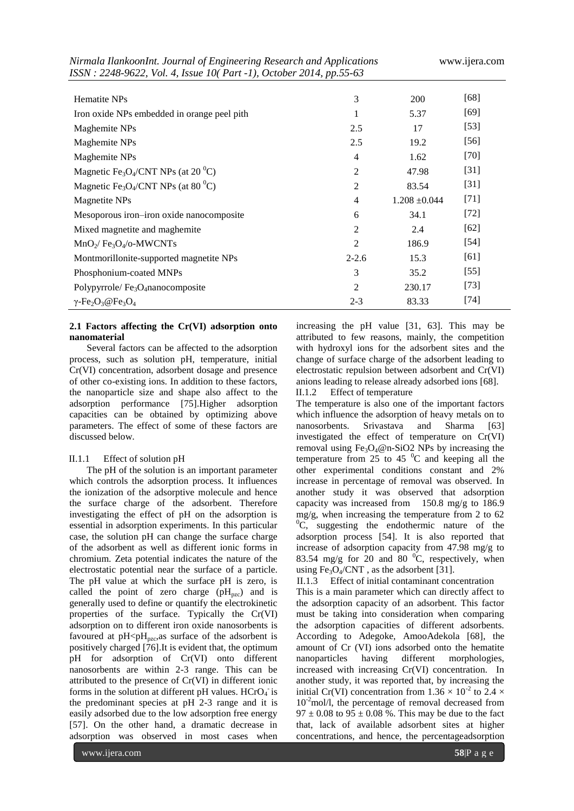| Nirmala IlankoonInt. Journal of Engineering Research and Applications<br>ISSN: 2248-9622, Vol. 4, Issue 10(Part -1), October 2014, pp.55-63 | www.ijera.com  |                   |        |
|---------------------------------------------------------------------------------------------------------------------------------------------|----------------|-------------------|--------|
| Hematite NPs                                                                                                                                | 3              | 200               | [68]   |
| Iron oxide NPs embedded in orange peel pith                                                                                                 |                | 5.37              | $[69]$ |
| Maghemite NPs                                                                                                                               | 2.5            | 17                | $[53]$ |
| Maghemite NPs                                                                                                                               | 2.5            | 19.2              | $[56]$ |
| Maghemite NPs                                                                                                                               | $\overline{4}$ | 1.62              | $[70]$ |
| Magnetic Fe <sub>3</sub> O <sub>4</sub> /CNT NPs (at 20 <sup>°</sup> C)                                                                     | 2              | 47.98             | $[31]$ |
| Magnetic Fe <sub>3</sub> O <sub>4</sub> /CNT NPs (at 80 <sup>0</sup> C)                                                                     | 2              | 83.54             | $[31]$ |
| Magnetite NPs                                                                                                                               | $\overline{4}$ | $1.208 \pm 0.044$ | $[71]$ |
| Mesoporous iron-iron oxide nanocomposite                                                                                                    | 6              | 34.1              | $[72]$ |
| Mixed magnetite and maghemite                                                                                                               | 2              | 2.4               | $[62]$ |
| $MnO_2$ / Fe <sub>3</sub> O <sub>4</sub> /o-MWCNTs                                                                                          | 2              | 186.9             | $[54]$ |
| Montmorillonite-supported magnetite NPs                                                                                                     | $2 - 2.6$      | 15.3              | [61]   |
| Phosphonium-coated MNPs                                                                                                                     | 3              | 35.2              | $[55]$ |
| Polypyrrole/Fe <sub>3</sub> O <sub>4</sub> nanocomposite                                                                                    | 2              | 230.17            | $[73]$ |
| $\gamma$ -Fe <sub>2</sub> O <sub>3</sub> @Fe <sub>3</sub> O <sub>4</sub>                                                                    | $2 - 3$        | 83.33             | $[74]$ |

# **2.1 Factors affecting the Cr(VI) adsorption onto nanomaterial**

Several factors can be affected to the adsorption process, such as solution pH, temperature, initial Cr(VI) concentration, adsorbent dosage and presence of other co-existing ions. In addition to these factors, the nanoparticle size and shape also affect to the adsorption performance [75].Higher adsorption capacities can be obtained by optimizing above parameters. The effect of some of these factors are discussed below.

# II.1.1 Effect of solution pH

The pH of the solution is an important parameter which controls the adsorption process. It influences the ionization of the adsorptive molecule and hence the surface charge of the adsorbent. Therefore investigating the effect of pH on the adsorption is essential in adsorption experiments. In this particular case, the solution pH can change the surface charge of the adsorbent as well as different ionic forms in chromium. Zeta potential indicates the nature of the electrostatic potential near the surface of a particle. The pH value at which the surface pH is zero, is called the point of zero charge  $(pH_{pzc})$  and is generally used to define or quantify the electrokinetic properties of the surface. Typically the Cr(VI) adsorption on to different iron oxide nanosorbents is favoured at  $pH < pH_{pzc}$ , as surface of the adsorbent is positively charged [76].It is evident that, the optimum pH for adsorption of Cr(VI) onto different nanosorbents are within 2-3 range. This can be attributed to the presence of Cr(VI) in different ionic forms in the solution at different pH values.  $HCrO<sub>4</sub>$  is the predominant species at pH 2-3 range and it is easily adsorbed due to the low adsorption free energy [57]. On the other hand, a dramatic decrease in adsorption was observed in most cases when

increasing the pH value [31, 63]. This may be attributed to few reasons, mainly, the competition with hydroxyl ions for the adsorbent sites and the change of surface charge of the adsorbent leading to electrostatic repulsion between adsorbent and Cr(VI) anions leading to release already adsorbed ions [68]. II.1.2 Effect of temperature

The temperature is also one of the important factors which influence the adsorption of heavy metals on to nanosorbents. Srivastava and Sharma [63] investigated the effect of temperature on Cr(VI) removal using  $Fe<sub>3</sub>O<sub>4</sub>@n-SiO2$  NPs by increasing the temperature from 25 to 45 $^{0}$ C and keeping all the other experimental conditions constant and 2% increase in percentage of removal was observed. In another study it was observed that adsorption capacity was increased from 150.8 mg/g to 186.9 mg/g, when increasing the temperature from 2 to 62  ${}^{0}C$ , suggesting the endothermic nature of the adsorption process [54]. It is also reported that increase of adsorption capacity from 47.98 mg/g to 83.54 mg/g for 20 and 80  $^{\circ}$ C, respectively, when using  $Fe<sub>3</sub>O<sub>4</sub>/CNT$ , as the adsorbent [31].

II.1.3 Effect of initial contaminant concentration This is a main parameter which can directly affect to the adsorption capacity of an adsorbent. This factor must be taking into consideration when comparing the adsorption capacities of different adsorbents. According to Adegoke, AmooAdekola [68], the amount of Cr (VI) ions adsorbed onto the hematite nanoparticles having different morphologies, increased with increasing Cr(VI) concentration. In another study, it was reported that, by increasing the initial Cr(VI) concentration from  $1.36 \times 10^{-2}$  to 2.4  $\times$  $10^{-2}$ mol/l, the percentage of removal decreased from  $97 \pm 0.08$  to  $95 \pm 0.08$  %. This may be due to the fact that, lack of available adsorbent sites at higher concentrations, and hence, the percentageadsorption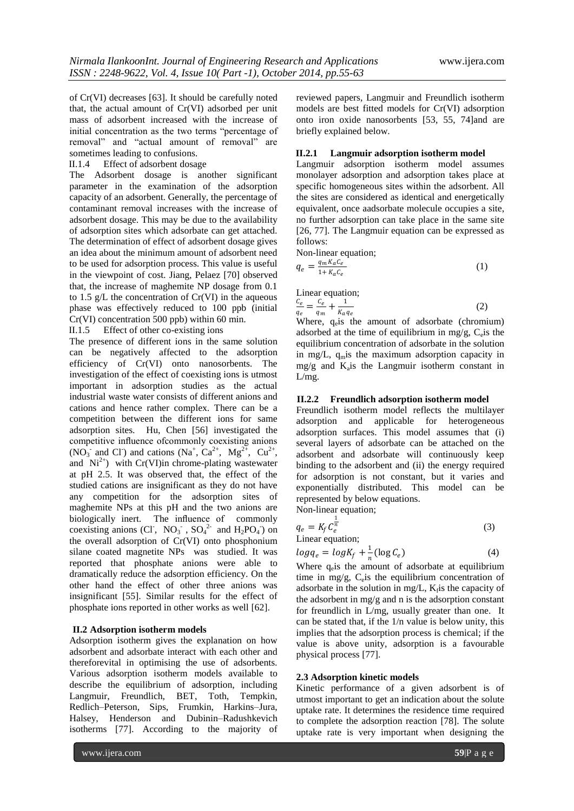of Cr(VI) decreases [63]. It should be carefully noted that, the actual amount of Cr(VI) adsorbed per unit mass of adsorbent increased with the increase of initial concentration as the two terms "percentage of removal" and "actual amount of removal" are sometimes leading to confusions.

II.1.4 Effect of adsorbent dosage

The Adsorbent dosage is another significant parameter in the examination of the adsorption capacity of an adsorbent. Generally, the percentage of contaminant removal increases with the increase of adsorbent dosage. This may be due to the availability of adsorption sites which adsorbate can get attached. The determination of effect of adsorbent dosage gives an idea about the minimum amount of adsorbent need to be used for adsorption process. This value is useful in the viewpoint of cost. Jiang, Pelaez [70] observed that, the increase of maghemite NP dosage from 0.1 to 1.5  $g/L$  the concentration of  $Cr(VI)$  in the aqueous phase was effectively reduced to 100 ppb (initial Cr(VI) concentration 500 ppb) within 60 min.

II.1.5 Effect of other co-existing ions

The presence of different ions in the same solution can be negatively affected to the adsorption efficiency of Cr(VI) onto nanosorbents. The investigation of the effect of coexisting ions is utmost important in adsorption studies as the actual industrial waste water consists of different anions and cations and hence rather complex. There can be a competition between the different ions for same adsorption sites. Hu, Chen [56] investigated the competitive influence ofcommonly coexisting anions  $(NO_3^-$  and Cl<sup>-</sup>) and cations  $(Na^+, Ca^{2+}, Mg^{2+}, Cu^{2+},$ and  $Ni^{2+}$ ) with Cr(VI)in chrome-plating wastewater at pH 2.5. It was observed that, the effect of the studied cations are insignificant as they do not have any competition for the adsorption sites of maghemite NPs at this pH and the two anions are biologically inert. The influence of commonly coexisting anions (Cl<sup>-</sup>, NO<sub>3</sub><sup>-</sup>, SO<sub>4</sub><sup>2-</sup> and H<sub>2</sub>PO<sub>4</sub><sup>-</sup>) on the overall adsorption of Cr(VI) onto phosphonium silane coated magnetite NPs was studied. It was reported that phosphate anions were able to dramatically reduce the adsorption efficiency. On the other hand the effect of other three anions was insignificant [55]. Similar results for the effect of phosphate ions reported in other works as well [62].

## **II.2 Adsorption isotherm models**

Adsorption isotherm gives the explanation on how adsorbent and adsorbate interact with each other and thereforevital in optimising the use of adsorbents. Various adsorption isotherm models available to describe the equilibrium of adsorption, including Langmuir, Freundlich, BET, Toth, Tempkin, Redlich–Peterson, Sips, Frumkin, Harkins–Jura, Halsey, Henderson and Dubinin–Radushkevich isotherms [77]. According to the majority of reviewed papers, Langmuir and Freundlich isotherm models are best fitted models for Cr(VI) adsorption onto iron oxide nanosorbents [53, 55, 74]and are briefly explained below.

#### **II.2.1 Langmuir adsorption isotherm model**

Langmuir adsorption isotherm model assumes monolayer adsorption and adsorption takes place at specific homogeneous sites within the adsorbent. All the sites are considered as identical and energetically equivalent, once aadsorbate molecule occupies a site, no further adsorption can take place in the same site [26, 77]. The Langmuir equation can be expressed as follows:

Non-linear equation;

 $K_a q_e$ 

$$
q_e = \frac{q_m K_a C_e}{1 + K_a C_e} \tag{1}
$$

Linear equation;  $c_e$  $\frac{c_e}{q_e} = \frac{c_e}{q_n}$  $\frac{c_e}{q_m} + \frac{1}{K_a}$ 

 $(2)$ 

Where, qeis the amount of adsorbate (chromium) adsorbed at the time of equilibrium in mg/g,  $C$ <sub>e</sub> is the equilibrium concentration of adsorbate in the solution in mg/L,  $q<sub>m</sub>$  is the maximum adsorption capacity in  $mg/g$  and  $K_a$  is the Langmuir isotherm constant in L/mg.

#### **II.2.2 Freundlich adsorption isotherm model**

Freundlich isotherm model reflects the multilayer adsorption and applicable for heterogeneous adsorption surfaces. This model assumes that (i) several layers of adsorbate can be attached on the adsorbent and adsorbate will continuously keep binding to the adsorbent and (ii) the energy required for adsorption is not constant, but it varies and exponentially distributed. This model can be represented by below equations. Non-linear equation;

$$
q_e = K_f C_e^{\frac{1}{n}}
$$
  
Linear equation; (3)

$$
log q_e = log K_f + \frac{1}{r} (log C_e)
$$
 (4)

Where  $q_e$  is the amount of adsorbate at equilibrium time in mg/g, C<sub>e</sub>is the equilibrium concentration of adsorbate in the solution in mg/L,  $K_f$  is the capacity of the adsorbent in mg/g and n is the adsorption constant for freundlich in L/mg, usually greater than one. It can be stated that, if the 1/n value is below unity, this implies that the adsorption process is chemical; if the value is above unity, adsorption is a favourable physical process [77].

## **2.3 Adsorption kinetic models**

Kinetic performance of a given adsorbent is of utmost important to get an indication about the solute uptake rate. It determines the residence time required to complete the adsorption reaction [78]. The solute uptake rate is very important when designing the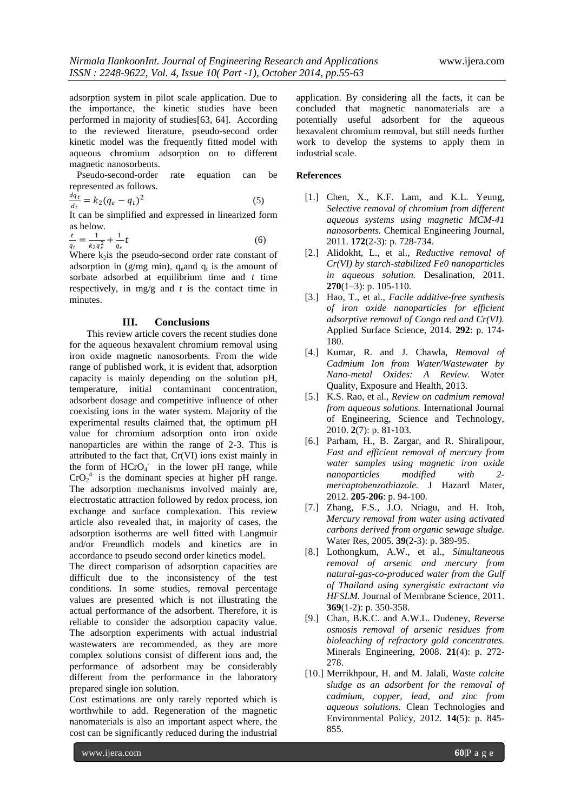adsorption system in pilot scale application. Due to the importance, the kinetic studies have been performed in majority of studies[63, 64]. According to the reviewed literature, pseudo-second order kinetic model was the frequently fitted model with aqueous chromium adsorption on to different magnetic nanosorbents.

 Pseudo-second-order rate equation can be represented as follows.

$$
\frac{dq_t}{dt} = k_2(q_e - q_t)^2 \tag{5}
$$

It can be simplified and expressed in linearized form as below.

$$
\frac{t}{q_t} = \frac{1}{k_2 q_e^2} + \frac{1}{q_e} t \tag{6}
$$

Where  $k_2$  is the pseudo-second order rate constant of adsorption in (g/mg min),  $q_{e}$  and  $q_{t}$  is the amount of sorbate adsorbed at equilibrium time and *t* time respectively, in mg/g and *t* is the contact time in minutes.

# **III. Conclusions**

This review article covers the recent studies done for the aqueous hexavalent chromium removal using iron oxide magnetic nanosorbents. From the wide range of published work, it is evident that, adsorption capacity is mainly depending on the solution pH, temperature, initial contaminant concentration, adsorbent dosage and competitive influence of other coexisting ions in the water system. Majority of the experimental results claimed that, the optimum pH value for chromium adsorption onto iron oxide nanoparticles are within the range of 2-3. This is attributed to the fact that, Cr(VI) ions exist mainly in the form of HCrO<sub>4</sub> in the lower pH range, while  $CrO<sub>2</sub><sup>4</sup>$  is the dominant species at higher pH range. The adsorption mechanisms involved mainly are, electrostatic attraction followed by redox process, ion exchange and surface complexation. This review article also revealed that, in majority of cases, the adsorption isotherms are well fitted with Langmuir and/or Freundlich models and kinetics are in accordance to pseudo second order kinetics model.

The direct comparison of adsorption capacities are difficult due to the inconsistency of the test conditions. In some studies, removal percentage values are presented which is not illustrating the actual performance of the adsorbent. Therefore, it is reliable to consider the adsorption capacity value. The adsorption experiments with actual industrial wastewaters are recommended, as they are more complex solutions consist of different ions and, the performance of adsorbent may be considerably different from the performance in the laboratory prepared single ion solution.

Cost estimations are only rarely reported which is worthwhile to add. Regeneration of the magnetic nanomaterials is also an important aspect where, the cost can be significantly reduced during the industrial

application. By considering all the facts, it can be concluded that magnetic nanomaterials are a potentially useful adsorbent for the aqueous hexavalent chromium removal, but still needs further work to develop the systems to apply them in industrial scale.

## **References**

- [1.] Chen, X., K.F. Lam, and K.L. Yeung, *Selective removal of chromium from different aqueous systems using magnetic MCM-41 nanosorbents.* Chemical Engineering Journal, 2011. **172**(2-3): p. 728-734.
- [2.] Alidokht, L., et al., *Reductive removal of Cr(VI) by starch-stabilized Fe0 nanoparticles in aqueous solution.* Desalination, 2011. **270**(1–3): p. 105-110.
- [3.] Hao, T., et al., *Facile additive-free synthesis of iron oxide nanoparticles for efficient adsorptive removal of Congo red and Cr(VI).* Applied Surface Science, 2014. **292**: p. 174- 180.
- [4.] Kumar, R. and J. Chawla, *Removal of Cadmium Ion from Water/Wastewater by Nano-metal Oxides: A Review.* Water Quality, Exposure and Health, 2013.
- [5.] K.S. Rao, et al., *Review on cadmium removal from aqueous solutions.* International Journal of Engineering, Science and Technology, 2010. **2**(7): p. 81-103.
- [6.] Parham, H., B. Zargar, and R. Shiralipour, *Fast and efficient removal of mercury from water samples using magnetic iron oxide nanoparticles modified with 2 mercaptobenzothiazole.* J Hazard Mater, 2012. **205-206**: p. 94-100.
- [7.] Zhang, F.S., J.O. Nriagu, and H. Itoh, *Mercury removal from water using activated carbons derived from organic sewage sludge.* Water Res, 2005. **39**(2-3): p. 389-95.
- [8.] Lothongkum, A.W., et al., *Simultaneous removal of arsenic and mercury from natural-gas-co-produced water from the Gulf of Thailand using synergistic extractant via HFSLM.* Journal of Membrane Science, 2011. **369**(1-2): p. 350-358.
- [9.] Chan, B.K.C. and A.W.L. Dudeney, *Reverse osmosis removal of arsenic residues from bioleaching of refractory gold concentrates.* Minerals Engineering, 2008. **21**(4): p. 272- 278.
- [10.] Merrikhpour, H. and M. Jalali, *Waste calcite sludge as an adsorbent for the removal of cadmium, copper, lead, and zinc from aqueous solutions.* Clean Technologies and Environmental Policy, 2012. **14**(5): p. 845- 855.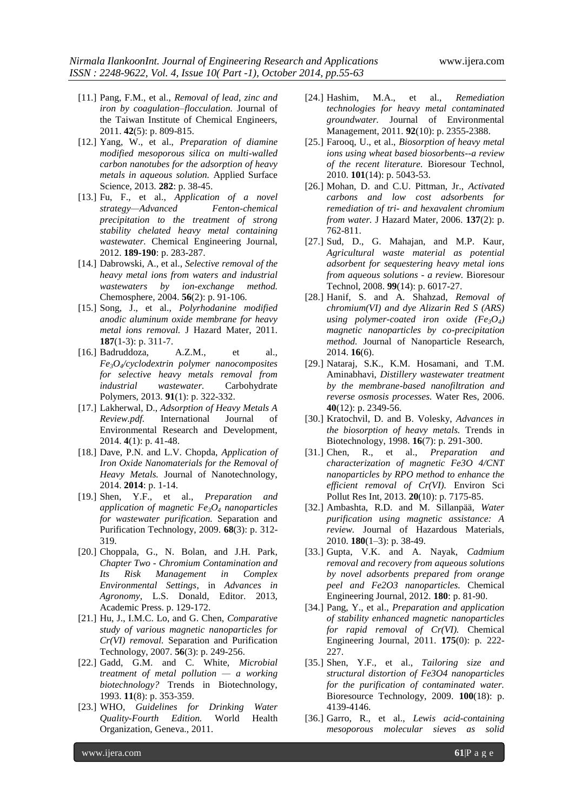- [11.] Pang, F.M., et al., *Removal of lead, zinc and iron by coagulation–flocculation.* Journal of the Taiwan Institute of Chemical Engineers, 2011. **42**(5): p. 809-815.
- [12.] Yang, W., et al., *Preparation of diamine modified mesoporous silica on multi-walled carbon nanotubes for the adsorption of heavy metals in aqueous solution.* Applied Surface Science, 2013. **282**: p. 38-45.
- [13.] Fu, F., et al., *Application of a novel strategy—Advanced Fenton-chemical precipitation to the treatment of strong stability chelated heavy metal containing wastewater.* Chemical Engineering Journal, 2012. **189-190**: p. 283-287.
- [14.] Dabrowski, A., et al., *Selective removal of the heavy metal ions from waters and industrial wastewaters by ion-exchange method.* Chemosphere, 2004. **56**(2): p. 91-106.
- [15.] Song, J., et al., *Polyrhodanine modified anodic aluminum oxide membrane for heavy metal ions removal.* J Hazard Mater, 2011. **187**(1-3): p. 311-7.
- [16.] Badruddoza, A.Z.M., et al., *Fe3O4/cyclodextrin polymer nanocomposites for selective heavy metals removal from industrial wastewater.* Carbohydrate Polymers, 2013. **91**(1): p. 322-332.
- [17.] Lakherwal, D., *Adsorption of Heavy Metals A Review.pdf.* International Journal of Environmental Research and Development, 2014. **4**(1): p. 41-48.
- [18.] Dave, P.N. and L.V. Chopda, *Application of Iron Oxide Nanomaterials for the Removal of Heavy Metals.* Journal of Nanotechnology, 2014. **2014**: p. 1-14.
- [19.] Shen, Y.F., et al., *Preparation and application of magnetic Fe3O<sup>4</sup> nanoparticles for wastewater purification.* Separation and Purification Technology, 2009. **68**(3): p. 312- 319.
- [20.] Choppala, G., N. Bolan, and J.H. Park, *Chapter Two - Chromium Contamination and Its Risk Management in Complex Environmental Settings*, in *Advances in Agronomy*, L.S. Donald, Editor. 2013, Academic Press. p. 129-172.
- [21.] Hu, J., I.M.C. Lo, and G. Chen, *Comparative study of various magnetic nanoparticles for Cr(VI) removal.* Separation and Purification Technology, 2007. **56**(3): p. 249-256.
- [22.] Gadd, G.M. and C. White, *Microbial treatment of metal pollution — a working biotechnology?* Trends in Biotechnology, 1993. **11**(8): p. 353-359.
- [23.] WHO, *Guidelines for Drinking Water Quality-Fourth Edition.* World Health Organization, Geneva., 2011.
- [24.] Hashim, M.A., et al., *Remediation technologies for heavy metal contaminated groundwater.* Journal of Environmental Management, 2011. **92**(10): p. 2355-2388.
- [25.] Farooq, U., et al., *Biosorption of heavy metal ions using wheat based biosorbents--a review of the recent literature.* Bioresour Technol, 2010. **101**(14): p. 5043-53.
- [26.] Mohan, D. and C.U. Pittman, Jr., *Activated carbons and low cost adsorbents for remediation of tri- and hexavalent chromium from water.* J Hazard Mater, 2006. **137**(2): p. 762-811.
- [27.] Sud, D., G. Mahajan, and M.P. Kaur, *Agricultural waste material as potential adsorbent for sequestering heavy metal ions from aqueous solutions - a review.* Bioresour Technol, 2008. **99**(14): p. 6017-27.
- [28.] Hanif, S. and A. Shahzad, *Removal of chromium(VI) and dye Alizarin Red S (ARS) using polymer-coated iron oxide (Fe<sub>3</sub>O<sub>4</sub>) magnetic nanoparticles by co-precipitation method.* Journal of Nanoparticle Research, 2014. **16**(6).
- [29.] Nataraj, S.K., K.M. Hosamani, and T.M. Aminabhavi, *Distillery wastewater treatment by the membrane-based nanofiltration and reverse osmosis processes.* Water Res, 2006. **40**(12): p. 2349-56.
- [30.] Kratochvil, D. and B. Volesky, *Advances in the biosorption of heavy metals.* Trends in Biotechnology, 1998. **16**(7): p. 291-300.
- [31.] Chen, R., et al., *Preparation and characterization of magnetic Fe3O 4/CNT nanoparticles by RPO method to enhance the efficient removal of Cr(VI).* Environ Sci Pollut Res Int, 2013. **20**(10): p. 7175-85.
- [32.] Ambashta, R.D. and M. Sillanpää, *Water purification using magnetic assistance: A review.* Journal of Hazardous Materials, 2010. **180**(1–3): p. 38-49.
- [33.] Gupta, V.K. and A. Nayak, *Cadmium removal and recovery from aqueous solutions by novel adsorbents prepared from orange peel and Fe2O3 nanoparticles.* Chemical Engineering Journal, 2012. **180**: p. 81-90.
- [34.] Pang, Y., et al., *Preparation and application of stability enhanced magnetic nanoparticles for rapid removal of Cr(VI).* Chemical Engineering Journal, 2011. **175**(0): p. 222- 227.
- [35.] Shen, Y.F., et al., *Tailoring size and structural distortion of Fe3O4 nanoparticles for the purification of contaminated water.* Bioresource Technology, 2009. **100**(18): p. 4139-4146.
- [36.] Garro, R., et al., *Lewis acid-containing mesoporous molecular sieves as solid*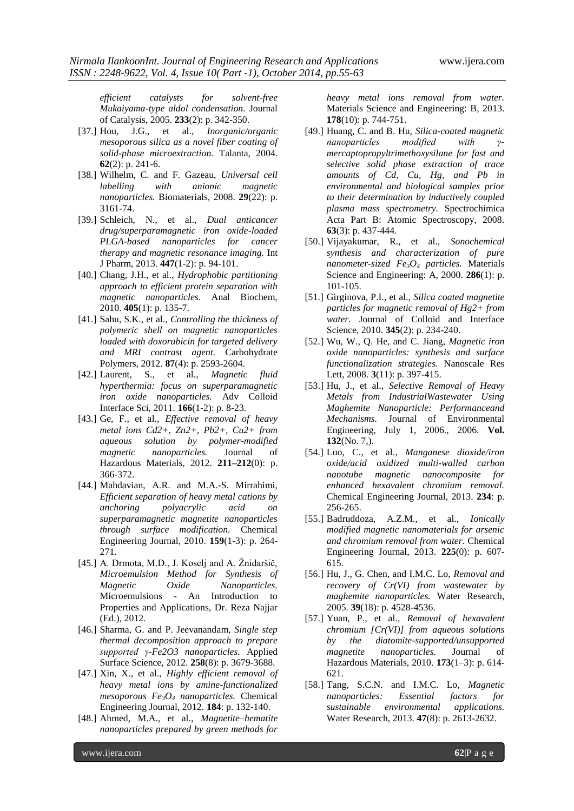*efficient catalysts for solvent-free Mukaiyama-type aldol condensation.* Journal of Catalysis, 2005. **233**(2): p. 342-350.

- [37.] Hou, J.G., et al., *Inorganic/organic mesoporous silica as a novel fiber coating of solid-phase microextraction.* Talanta, 2004. **62**(2): p. 241-6.
- [38.] Wilhelm, C. and F. Gazeau, *Universal cell labelling with anionic magnetic nanoparticles.* Biomaterials, 2008. **29**(22): p. 3161-74.
- [39.] Schleich, N., et al., *Dual anticancer drug/superparamagnetic iron oxide-loaded PLGA-based nanoparticles for cancer therapy and magnetic resonance imaging.* Int J Pharm, 2013. **447**(1-2): p. 94-101.
- [40.] Chang, J.H., et al., *Hydrophobic partitioning approach to efficient protein separation with magnetic nanoparticles.* Anal Biochem, 2010. **405**(1): p. 135-7.
- [41.] Sahu, S.K., et al., *Controlling the thickness of polymeric shell on magnetic nanoparticles loaded with doxorubicin for targeted delivery and MRI contrast agent.* Carbohydrate Polymers, 2012. **87**(4): p. 2593-2604.
- [42.] Laurent, S., et al., *Magnetic fluid hyperthermia: focus on superparamagnetic iron oxide nanoparticles.* Adv Colloid Interface Sci, 2011. **166**(1-2): p. 8-23.
- [43.] Ge, F., et al., *Effective removal of heavy metal ions Cd2+, Zn2+, Pb2+, Cu2+ from aqueous solution by polymer-modified magnetic nanoparticles.* Journal of Hazardous Materials, 2012. **211–212**(0): p. 366-372.
- [44.] Mahdavian, A.R. and M.A.-S. Mirrahimi, *Efficient separation of heavy metal cations by anchoring polyacrylic acid on superparamagnetic magnetite nanoparticles through surface modification.* Chemical Engineering Journal, 2010. **159**(1-3): p. 264- 271.
- [45.] A. Drmota, M.D., J. Koselj and A. Žnidaršič, *Microemulsion Method for Synthesis of Magnetic Oxide Nanoparticles.* Microemulsions - An Introduction to Properties and Applications, Dr. Reza Najjar (Ed.), 2012.
- [46.] Sharma, G. and P. Jeevanandam, *Single step thermal decomposition approach to prepare supported γ-Fe2O3 nanoparticles.* Applied Surface Science, 2012. **258**(8): p. 3679-3688.
- [47.] Xin, X., et al., *Highly efficient removal of heavy metal ions by amine-functionalized mesoporous Fe3O<sup>4</sup> nanoparticles.* Chemical Engineering Journal, 2012. **184**: p. 132-140.
- [48.] Ahmed, M.A., et al., *Magnetite–hematite nanoparticles prepared by green methods for*

*heavy metal ions removal from water.* Materials Science and Engineering: B, 2013. **178**(10): p. 744-751.

- [49.] Huang, C. and B. Hu, *Silica-coated magnetic nanoparticles modified with γmercaptopropyltrimethoxysilane for fast and selective solid phase extraction of trace amounts of Cd, Cu, Hg, and Pb in environmental and biological samples prior to their determination by inductively coupled plasma mass spectrometry.* Spectrochimica Acta Part B: Atomic Spectroscopy, 2008. **63**(3): p. 437-444.
- [50.] Vijayakumar, R., et al., *Sonochemical synthesis and characterization of pure nanometer-sized Fe3O<sup>4</sup> particles.* Materials Science and Engineering: A, 2000. **286**(1): p. 101-105.
- [51.] Girginova, P.I., et al., *Silica coated magnetite particles for magnetic removal of Hg2+ from water.* Journal of Colloid and Interface Science, 2010. **345**(2): p. 234-240.
- [52.] Wu, W., Q. He, and C. Jiang, *Magnetic iron oxide nanoparticles: synthesis and surface functionalization strategies.* Nanoscale Res Lett, 2008. **3**(11): p. 397-415.
- [53.] Hu, J., et al., *Selective Removal of Heavy Metals from IndustrialWastewater Using Maghemite Nanoparticle: Performanceand Mechanisms.* Journal of Environmental Engineering, July 1, 2006., 2006. **Vol. 132**(No. 7,).
- [54.] Luo, C., et al., *Manganese dioxide/iron oxide/acid oxidized multi-walled carbon nanotube magnetic nanocomposite for enhanced hexavalent chromium removal.* Chemical Engineering Journal, 2013. **234**: p. 256-265.
- [55.] Badruddoza, A.Z.M., et al., *Ionically modified magnetic nanomaterials for arsenic and chromium removal from water.* Chemical Engineering Journal, 2013. **225**(0): p. 607- 615.
- [56.] Hu, J., G. Chen, and I.M.C. Lo, *Removal and recovery of Cr(VI) from wastewater by maghemite nanoparticles.* Water Research, 2005. **39**(18): p. 4528-4536.
- [57.] Yuan, P., et al., *Removal of hexavalent chromium [Cr(VI)] from aqueous solutions by the diatomite-supported/unsupported magnetite nanoparticles.* Journal of Hazardous Materials, 2010. **173**(1–3): p. 614- 621.
- [58.] Tang, S.C.N. and I.M.C. Lo, *Magnetic nanoparticles: Essential factors for sustainable environmental applications.* Water Research, 2013. **47**(8): p. 2613-2632.